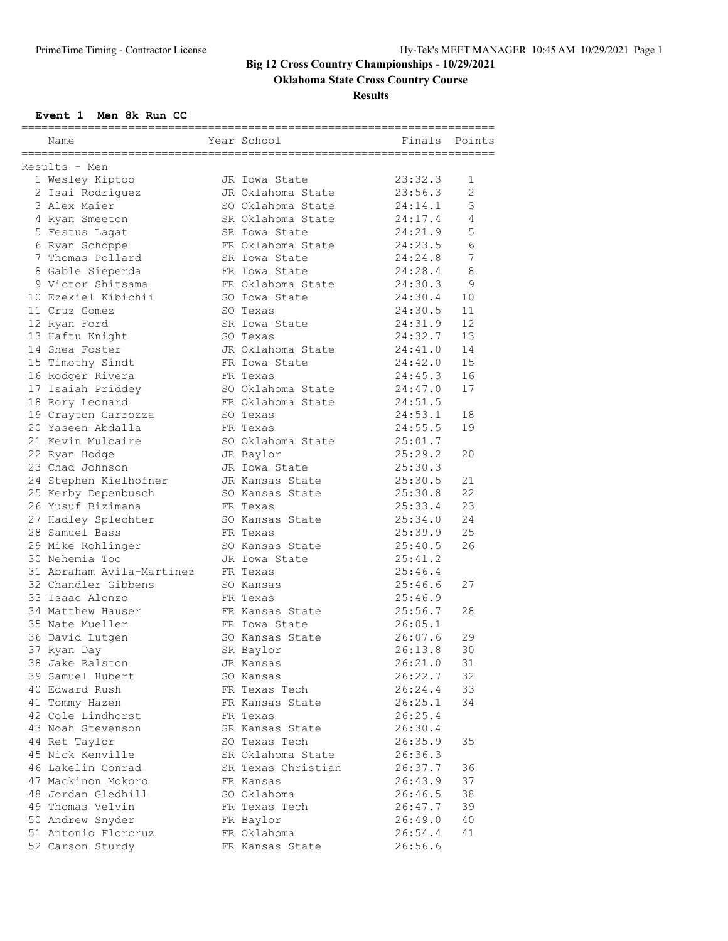# **Oklahoma State Cross Country Course**

**Results**

#### **Event 1 Men 8k Run CC**

| ============<br>Name                  | Year School        | Finals  | Points |
|---------------------------------------|--------------------|---------|--------|
| Results - Men                         |                    |         |        |
| 1 Wesley Kiptoo                       | JR Iowa State      | 23:32.3 | 1      |
| 2 Isai Rodriguez                      | JR Oklahoma State  | 23:56.3 | 2      |
| 3 Alex Maier                          | SO Oklahoma State  | 24:14.1 | 3      |
| 4 Ryan Smeeton                        | SR Oklahoma State  | 24:17.4 | 4      |
| 5 Festus Lagat                        | SR Iowa State      | 24:21.9 | 5      |
| 6 Ryan Schoppe                        | FR Oklahoma State  | 24:23.5 | 6      |
| 7 Thomas Pollard                      | SR Iowa State      | 24:24.8 | 7      |
| 8 Gable Sieperda                      | FR Iowa State      | 24:28.4 | 8      |
| 9 Victor Shitsama                     | FR Oklahoma State  | 24:30.3 | 9      |
| 10 Ezekiel Kibichii                   | SO Iowa State      | 24:30.4 | 10     |
| 11 Cruz Gomez                         | SO Texas           | 24:30.5 | 11     |
| 12 Ryan Ford                          | SR Iowa State      | 24:31.9 | 12     |
| 13 Haftu Knight                       | SO Texas           | 24:32.7 | 13     |
| 14 Shea Foster                        | JR Oklahoma State  | 24:41.0 | 14     |
| 15 Timothy Sindt                      | FR Iowa State      | 24:42.0 | 15     |
| 16 Rodger Rivera                      | FR Texas           | 24:45.3 | 16     |
| 17 Isaiah Priddey                     | SO Oklahoma State  | 24:47.0 | 17     |
| 18 Rory Leonard                       | FR Oklahoma State  | 24:51.5 |        |
| 19 Crayton Carrozza                   | SO Texas           | 24:53.1 | 18     |
| 20 Yaseen Abdalla                     | FR Texas           | 24:55.5 | 19     |
| 21 Kevin Mulcaire                     | SO Oklahoma State  | 25:01.7 |        |
| 22 Ryan Hodge                         | JR Baylor          | 25:29.2 | 20     |
| 23 Chad Johnson                       | JR Iowa State      | 25:30.3 |        |
| 24 Stephen Kielhofner                 | JR Kansas State    | 25:30.5 | 21     |
| 25 Kerby Depenbusch                   | SO Kansas State    | 25:30.8 | 22     |
| 26 Yusuf Bizimana                     | FR Texas           | 25:33.4 | 23     |
|                                       |                    |         | 24     |
| 27 Hadley Splechter<br>28 Samuel Bass | SO Kansas State    | 25:34.0 | 25     |
|                                       | FR Texas           | 25:39.9 | 26     |
| 29 Mike Rohlinger                     | SO Kansas State    | 25:40.5 |        |
| 30 Nehemia Too                        | JR Iowa State      | 25:41.2 |        |
| 31 Abraham Avila-Martinez             | FR Texas           | 25:46.4 |        |
| 32 Chandler Gibbens                   | SO Kansas          | 25:46.6 | 27     |
| 33 Isaac Alonzo                       | FR Texas           | 25:46.9 |        |
| 34 Matthew Hauser                     | FR Kansas State    | 25:56.7 | 28     |
| 35 Nate Mueller                       | FR Iowa State      | 26:05.1 |        |
| 36 David Lutgen                       | SO Kansas State    | 26:07.6 | 29     |
| 37 Ryan Day                           | SR Baylor          | 26:13.8 | 30     |
| 38 Jake Ralston                       | JR Kansas          | 26:21.0 | 31     |
| 39 Samuel Hubert                      | SO Kansas          | 26:22.7 | 32     |
| 40 Edward Rush                        | FR Texas Tech      | 26:24.4 | 33     |
| 41 Tommy Hazen                        | FR Kansas State    | 26:25.1 | 34     |
| 42 Cole Lindhorst                     | FR Texas           | 26:25.4 |        |
| 43 Noah Stevenson                     | SR Kansas State    | 26:30.4 |        |
| 44 Ret Taylor                         | SO Texas Tech      | 26:35.9 | 35     |
| 45 Nick Kenville                      | SR Oklahoma State  | 26:36.3 |        |
| 46 Lakelin Conrad                     | SR Texas Christian | 26:37.7 | 36     |
| 47 Mackinon Mokoro                    | FR Kansas          | 26:43.9 | 37     |
| 48 Jordan Gledhill                    | SO Oklahoma        | 26:46.5 | 38     |
| 49 Thomas Velvin                      | FR Texas Tech      | 26:47.7 | 39     |
| 50 Andrew Snyder                      | FR Baylor          | 26:49.0 | 40     |
| 51 Antonio Florcruz                   | FR Oklahoma        | 26:54.4 | 41     |
| 52 Carson Sturdy                      | FR Kansas State    | 26:56.6 |        |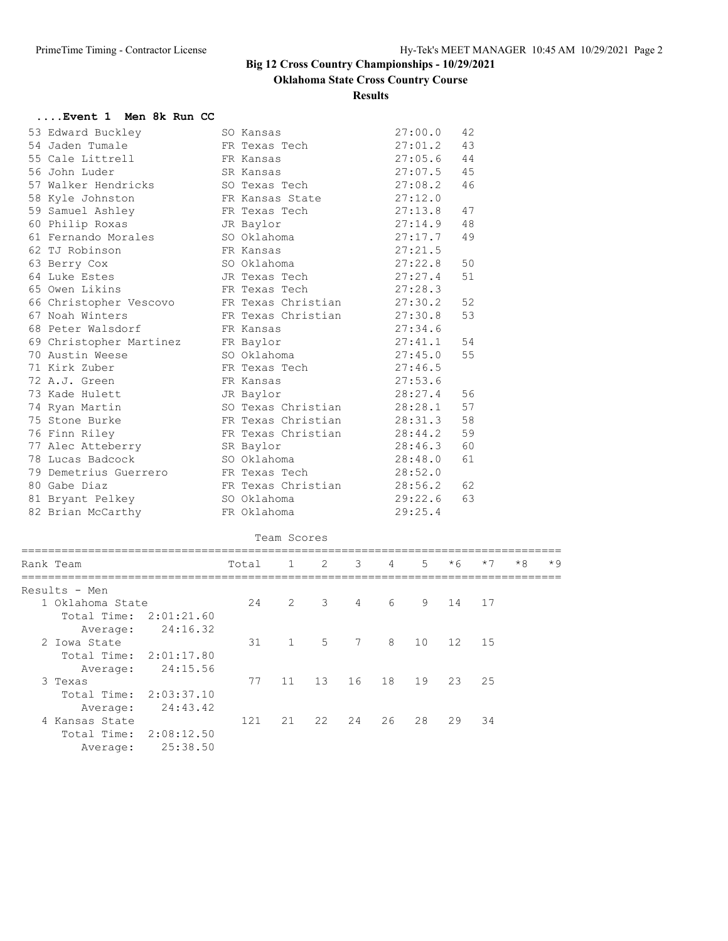# **Oklahoma State Cross Country Course**

#### **Results**

#### **....Event 1 Men 8k Run CC**

| Rank Team                                     | Total 1                  |             | 2 | $\mathcal{E}$ | $\overline{4}$ | 5       | $*6$     | $*7$ | $*8$ | $*9$ |
|-----------------------------------------------|--------------------------|-------------|---|---------------|----------------|---------|----------|------|------|------|
|                                               |                          | Team Scores |   |               |                |         |          |      |      |      |
| 82 Brian McCarthy                             | FR Oklahoma              |             |   |               |                | 29:25.4 |          |      |      |      |
| 81 Bryant Pelkey                              | SO Oklahoma              |             |   |               |                | 29:22.6 | 63       |      |      |      |
| 80 Gabe Diaz                                  | FR Texas Christian       |             |   |               |                | 28:56.2 | 62       |      |      |      |
| 79 Demetrius Guerrero           FR Texas Tech |                          |             |   |               |                | 28:52.0 |          |      |      |      |
| 78 Lucas Badcock                              | SO Oklahoma              |             |   |               |                | 28:48.0 | 61       |      |      |      |
| 77 Alec Atteberry                             | SR Baylor                |             |   |               |                | 28:46.3 | 60       |      |      |      |
| 76 Finn Riley                                 | FR Texas Christian       |             |   |               |                | 28:44.2 | 59       |      |      |      |
| 75 Stone Burke                                | FR Texas Christian       |             |   |               |                | 28:31.3 | 58       |      |      |      |
| 74 Ryan Martin                                | SO Texas Christian       |             |   |               |                | 28:28.1 |          |      |      |      |
| 73 Kade Hulett                                | JR Baylor                |             |   |               |                | 28:27.4 | 56<br>57 |      |      |      |
| 72 A.J. Green                                 | FR Kansas                |             |   |               |                | 27:53.6 |          |      |      |      |
|                                               |                          |             |   |               |                |         |          |      |      |      |
| 71 Kirk Zuber                                 | FR Texas Tech            |             |   |               |                | 27:46.5 |          |      |      |      |
| 69 Christopher Martinez<br>70 Austin Weese    | FR Baylor<br>SO Oklahoma |             |   |               |                | 27:45.0 | 55       |      |      |      |
|                                               |                          |             |   |               |                | 27:41.1 | 54       |      |      |      |
| 68 Peter Walsdorf                             | FR Kansas                |             |   |               |                | 27:34.6 |          |      |      |      |
| 67 Noah Winters                               | FR Texas Christian       |             |   |               |                | 27:30.8 | 53       |      |      |      |
| 66 Christopher Vescovo                        | FR Texas Christian       |             |   |               |                | 27:30.2 | 52       |      |      |      |
| 65 Owen Likins                                | FR Texas Tech            |             |   |               |                | 27:28.3 |          |      |      |      |
| 64 Luke Estes                                 | JR Texas Tech            |             |   |               |                | 27:27.4 | 51       |      |      |      |
| 63 Berry Cox                                  | SO Oklahoma              |             |   |               |                | 27:22.8 | 50       |      |      |      |
| 62 TJ Robinson                                | FR Kansas                |             |   |               |                | 27:21.5 |          |      |      |      |
| 61 Fernando Morales                           | SO Oklahoma              |             |   |               |                | 27:17.7 | 49       |      |      |      |
| 60 Philip Roxas                               | JR Baylor                |             |   |               |                | 27:14.9 | 48       |      |      |      |
| 59 Samuel Ashley                              | FR Texas Tech            |             |   |               |                | 27:13.8 | 47       |      |      |      |
| 58 Kyle Johnston                              | FR Kansas State          |             |   |               |                | 27:12.0 |          |      |      |      |
| 57 Walker Hendricks                           | SO Texas Tech            |             |   |               |                | 27:08.2 | 46       |      |      |      |
| 56 John Luder                                 | SR Kansas                |             |   |               |                | 27:07.5 | 45       |      |      |      |
| 55 Cale Littrell                              | FR Kansas                |             |   |               |                | 27:05.6 | 44       |      |      |      |
| 54 Jaden Tumale                               | FR Texas Tech            |             |   |               |                | 27:01.2 | 43       |      |      |      |
| 53 Edward Buckley                             | SO Kansas                |             |   |               |                | 27:00.0 | 42       |      |      |      |

|     |       |                |                     |          |                             |               |      |                                      | * Y     |
|-----|-------|----------------|---------------------|----------|-----------------------------|---------------|------|--------------------------------------|---------|
|     |       |                |                     |          |                             |               |      |                                      |         |
| 24  |       |                | $\overline{4}$      |          |                             |               |      |                                      |         |
|     |       |                |                     |          |                             |               |      |                                      |         |
|     |       |                |                     |          |                             |               |      |                                      |         |
| 31  |       | 5 <sup>5</sup> |                     |          | 10                          |               |      |                                      |         |
|     |       |                |                     |          |                             |               |      |                                      |         |
|     |       |                |                     |          |                             |               |      |                                      |         |
| 77  | 11    | 13             |                     | 18       | 19                          | 23            |      |                                      |         |
|     |       |                |                     |          |                             |               |      |                                      |         |
|     |       |                |                     |          |                             |               |      |                                      |         |
| 121 | 21    | 22             | 24                  | 26       | 28                          | 29            | 34   |                                      |         |
|     |       |                |                     |          |                             |               |      |                                      |         |
|     |       |                |                     |          |                             |               |      |                                      |         |
|     | Total |                | - 2<br>2 3<br>$1 -$ | -3<br>16 | 4<br>$6\overline{6}$<br>7 8 | $\mathcal{D}$ | $*h$ | $\star$ /<br>9 14 17<br>12 15<br>2.5 | $*_{8}$ |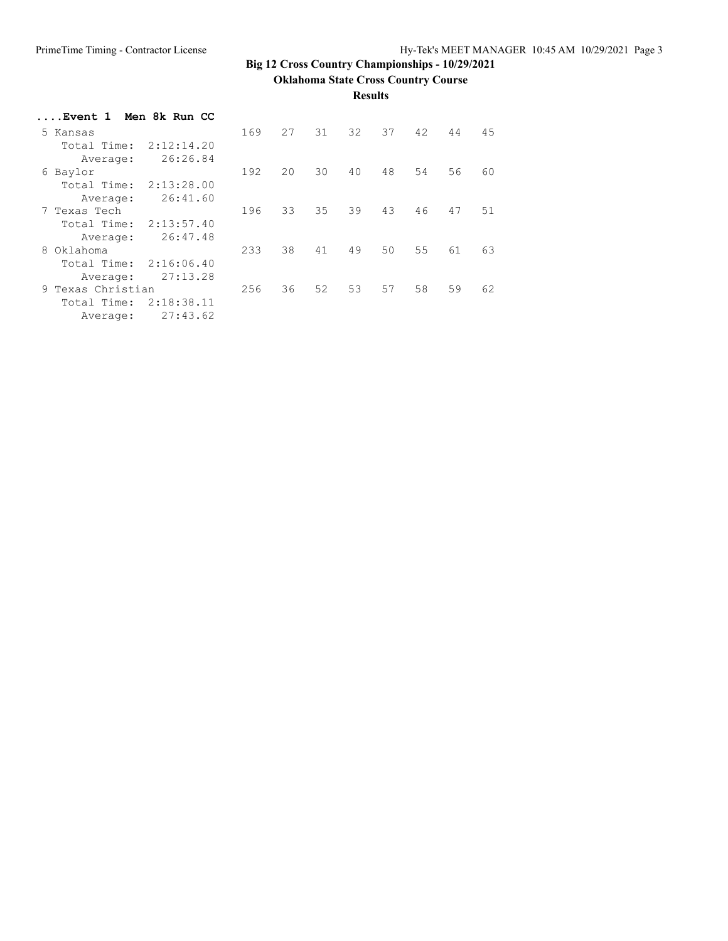**Oklahoma State Cross Country Course**

#### **Results**

| Event 1 Men 8k Run CC |            |     |    |    |    |    |                 |    |    |
|-----------------------|------------|-----|----|----|----|----|-----------------|----|----|
| 5 Kansas              |            | 169 | 27 | 31 | 32 | 37 | 42              | 44 | 45 |
| Total Time:           | 2:12:14.20 |     |    |    |    |    |                 |    |    |
| Average:              | 26:26.84   |     |    |    |    |    |                 |    |    |
| 6 Baylor              |            | 192 | 20 | 30 | 40 | 48 | 54              | 56 | 60 |
| Total Time:           | 2:13:28.00 |     |    |    |    |    |                 |    |    |
| Average:              | 26:41.60   |     |    |    |    |    |                 |    |    |
| 7 Texas Tech          |            | 196 | 33 | 35 | 39 | 43 | 46              | 47 | 51 |
| Total Time:           | 2:13:57.40 |     |    |    |    |    |                 |    |    |
| Average:              | 26:47.48   |     |    |    |    |    |                 |    |    |
| 8 Oklahoma            |            | 233 | 38 | 41 | 49 | 50 | 55 <sub>5</sub> | 61 | 63 |
| Total Time:           | 2:16:06.40 |     |    |    |    |    |                 |    |    |
| Average:              | 27:13.28   |     |    |    |    |    |                 |    |    |
| 9 Texas Christian     |            | 256 | 36 | 52 | 53 | 57 | 58              | 59 | 62 |
| Total Time:           | 2:18:38.11 |     |    |    |    |    |                 |    |    |
| Average:              | 27:43.62   |     |    |    |    |    |                 |    |    |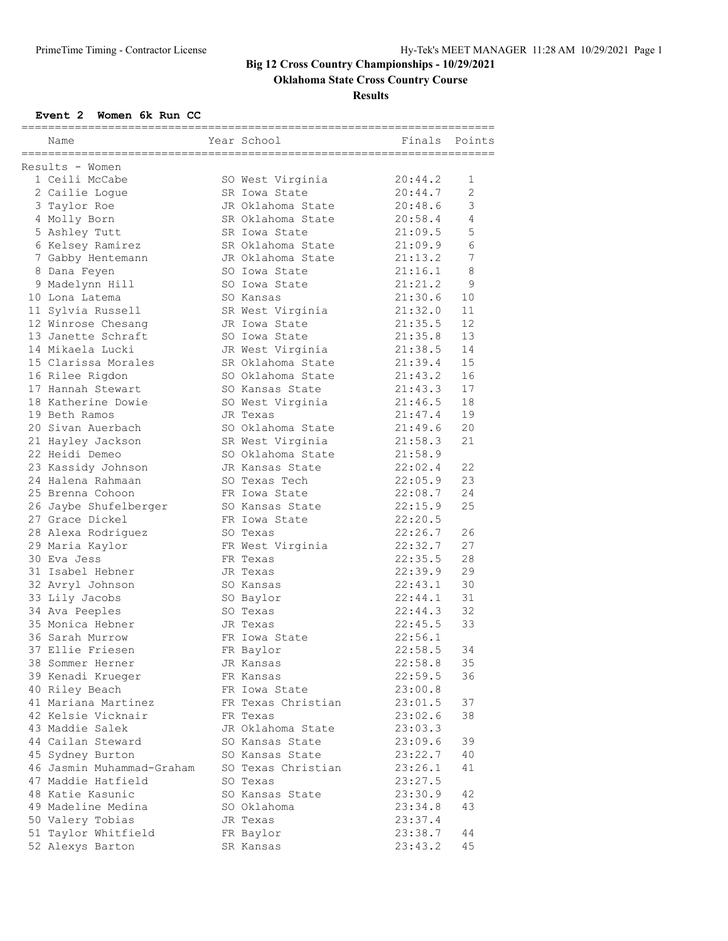# **Oklahoma State Cross Country Course**

**Results**

#### **Event 2 Women 6k Run CC**

| Name                      | Year School                       | Finals             | Points |
|---------------------------|-----------------------------------|--------------------|--------|
|                           |                                   |                    |        |
| Results - Women           |                                   |                    |        |
| 1 Ceili McCabe            | SO West Virginia<br>SR Iowa State | 20:44.2<br>20:44.7 | 1<br>2 |
| 2 Cailie Loque            |                                   |                    | 3      |
| 3 Taylor Roe              | JR Oklahoma State                 | 20:48.6            |        |
| 4 Molly Born              | SR Oklahoma State                 | 20:58.4            | 4      |
| 5 Ashley Tutt             | SR Iowa State                     | 21:09.5            | 5      |
| 6 Kelsey Ramirez          | SR Oklahoma State                 | 21:09.9            | 6      |
| 7 Gabby Hentemann         | JR Oklahoma State                 | 21:13.2            | 7      |
| 8 Dana Feyen              | SO Iowa State                     | 21:16.1            | 8      |
| 9 Madelynn Hill           | SO Iowa State                     | 21:21.2            | 9      |
| 10 Lona Latema            | SO Kansas                         | 21:30.6            | 10     |
| 11 Sylvia Russell         | SR West Virginia                  | 21:32.0            | 11     |
| 12 Winrose Chesang        | JR Iowa State                     | 21:35.5            | 12     |
| 13 Janette Schraft        | SO Iowa State                     | 21:35.8            | 13     |
| 14 Mikaela Lucki          | JR West Virginia                  | 21:38.5            | 14     |
| 15 Clarissa Morales       | SR Oklahoma State                 | 21:39.4            | 15     |
| 16 Rilee Rigdon           | SO Oklahoma State                 | 21:43.2            | 16     |
| 17 Hannah Stewart         | SO Kansas State                   | 21:43.3            | 17     |
| 18 Katherine Dowie        | SO West Virginia                  | 21:46.5            | 18     |
| 19 Beth Ramos             | JR Texas                          | 21:47.4            | 19     |
| 20 Sivan Auerbach         | SO Oklahoma State                 | 21:49.6            | 20     |
| 21 Hayley Jackson         | SR West Virginia                  | 21:58.3            | 21     |
| 22 Heidi Demeo            | SO Oklahoma State                 | 21:58.9            |        |
| 23 Kassidy Johnson        | JR Kansas State                   | 22:02.4            | 22     |
| 24 Halena Rahmaan         | SO Texas Tech                     | 22:05.9            | 23     |
| 25 Brenna Cohoon          | FR Iowa State                     | 22:08.7            | 24     |
| 26 Jaybe Shufelberger     | SO Kansas State                   | 22:15.9            | 25     |
| 27 Grace Dickel           | FR Iowa State                     | 22:20.5            |        |
| 28 Alexa Rodriguez        | SO Texas                          | 22:26.7            | 26     |
| 29 Maria Kaylor           | FR West Virginia                  | 22:32.7            | 27     |
| 30 Eva Jess               | FR Texas                          | 22:35.5            | 28     |
| 31 Isabel Hebner          | JR Texas                          | 22:39.9            | 29     |
| 32 Avryl Johnson          | SO Kansas                         | 22:43.1            | 30     |
| 33 Lily Jacobs            | SO Baylor                         | 22:44.1            | 31     |
| 34 Ava Peeples            | SO Texas                          | 22:44.3            | 32     |
| 35 Monica Hebner          | JR Texas                          | 22:45.5            | 33     |
| 36 Sarah Murrow           | FR Iowa State                     | 22:56.1            |        |
| 37 Ellie Friesen          | FR Baylor                         | 22:58.5            | 34     |
| 38 Sommer Herner          | JR Kansas                         | 22:58.8            | 35     |
| 39 Kenadi Krueger         | FR Kansas                         | 22:59.5            | 36     |
| 40 Riley Beach            | FR Iowa State                     | 23:00.8            |        |
| 41 Mariana Martinez       | FR Texas Christian                | 23:01.5            | 37     |
| 42 Kelsie Vicknair        | FR Texas                          | 23:02.6            | 38     |
| 43 Maddie Salek           | JR Oklahoma State                 | 23:03.3            |        |
| 44 Cailan Steward         | SO Kansas State                   | 23:09.6            | 39     |
| 45 Sydney Burton          | SO Kansas State                   | 23:22.7            | 40     |
| 46 Jasmin Muhammad-Graham | SO Texas Christian                | 23:26.1            | 41     |
| 47 Maddie Hatfield        | SO Texas                          | 23:27.5            |        |
| 48 Katie Kasunic          | SO Kansas State                   | 23:30.9            | 42     |
| 49 Madeline Medina        | SO Oklahoma                       | 23:34.8            | 43     |
| 50 Valery Tobias          | JR Texas                          | 23:37.4            |        |
| 51 Taylor Whitfield       | FR Baylor                         | 23:38.7            | 44     |
| 52 Alexys Barton          | SR Kansas                         | 23:43.2            | 45     |
|                           |                                   |                    |        |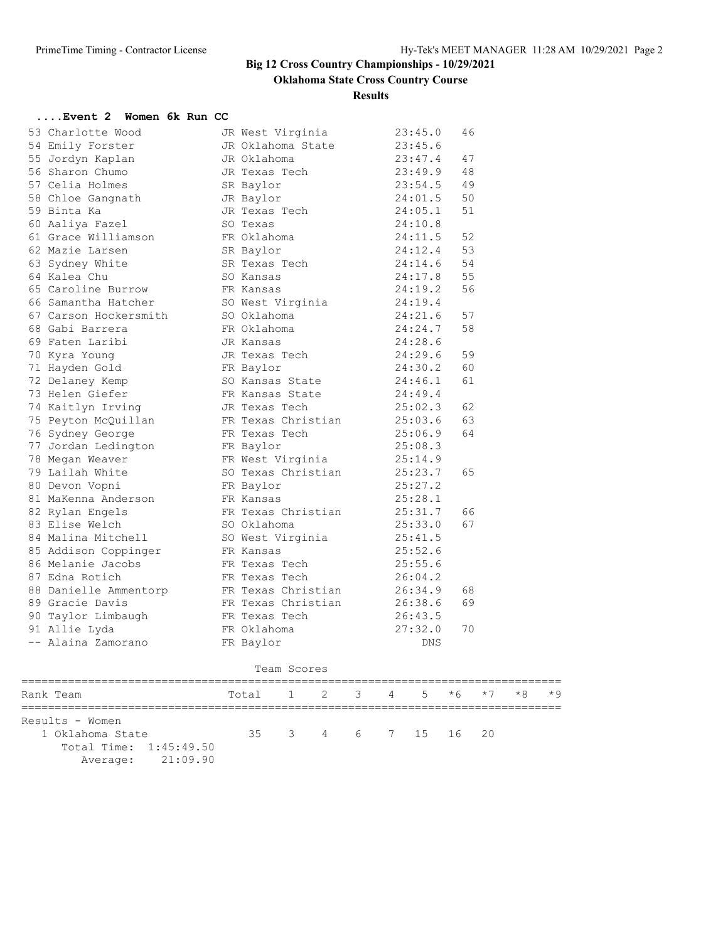### **Oklahoma State Cross Country Course**

**Results**

| Event 2  Women 6k Run CC |               |             |                          |   |   |         |      |      |      |      |
|--------------------------|---------------|-------------|--------------------------|---|---|---------|------|------|------|------|
| 53 Charlotte Wood        |               |             | JR West Virginia         |   |   | 23:45.0 | 46   |      |      |      |
| 54 Emily Forster         |               |             | JR Oklahoma State        |   |   | 23:45.6 |      |      |      |      |
| 55 Jordyn Kaplan         | JR Oklahoma   |             |                          |   |   | 23:47.4 | 47   |      |      |      |
| 56 Sharon Chumo          | JR Texas Tech |             |                          |   |   | 23:49.9 | 48   |      |      |      |
| 57 Celia Holmes          | SR Baylor     |             |                          |   |   | 23:54.5 | 49   |      |      |      |
| 58 Chloe Gangnath        | JR Baylor     |             |                          |   |   | 24:01.5 | 50   |      |      |      |
| 59 Binta Ka              | JR Texas Tech |             |                          |   |   | 24:05.1 | 51   |      |      |      |
| 60 Aaliya Fazel          | SO Texas      |             |                          |   |   | 24:10.8 |      |      |      |      |
| 61 Grace Williamson      | FR Oklahoma   |             |                          |   |   | 24:11.5 | 52   |      |      |      |
| 62 Mazie Larsen          | SR Baylor     |             |                          |   |   | 24:12.4 | 53   |      |      |      |
| 63 Sydney White          | SR Texas Tech |             |                          |   |   | 24:14.6 | 54   |      |      |      |
| 64 Kalea Chu             | SO Kansas     |             |                          |   |   | 24:17.8 | 55   |      |      |      |
| 65 Caroline Burrow       | FR Kansas     |             |                          |   |   | 24:19.2 | 56   |      |      |      |
| 66 Samantha Hatcher      |               |             | SO West Virginia 24:19.4 |   |   |         |      |      |      |      |
| 67 Carson Hockersmith    | SO Oklahoma   |             |                          |   |   | 24:21.6 | 57   |      |      |      |
| 68 Gabi Barrera          | FR Oklahoma   |             |                          |   |   | 24:24.7 | 58   |      |      |      |
| 69 Faten Laribi          | JR Kansas     |             |                          |   |   | 24:28.6 |      |      |      |      |
| 70 Kyra Young            | JR Texas Tech |             |                          |   |   | 24:29.6 | 59   |      |      |      |
| 71 Hayden Gold           | FR Baylor     |             |                          |   |   | 24:30.2 | 60   |      |      |      |
| 72 Delaney Kemp          |               |             | SO Kansas State          |   |   | 24:46.1 | 61   |      |      |      |
| 73 Helen Giefer          |               |             | FR Kansas State          |   |   | 24:49.4 |      |      |      |      |
| 74 Kaitlyn Irving        |               |             | JR Texas Tech            |   |   | 25:02.3 | 62   |      |      |      |
| 75 Peyton McQuillan      |               |             | FR Texas Christian       |   |   | 25:03.6 | 63   |      |      |      |
| 76 Sydney George         | FR Texas Tech |             |                          |   |   | 25:06.9 | 64   |      |      |      |
| 77 Jordan Ledington      | FR Baylor     |             |                          |   |   | 25:08.3 |      |      |      |      |
| 78 Megan Weaver          |               |             | FR West Virginia         |   |   | 25:14.9 |      |      |      |      |
| 79 Lailah White          |               |             | SO Texas Christian       |   |   | 25:23.7 | 65   |      |      |      |
| 80 Devon Vopni           | FR Baylor     |             |                          |   |   | 25:27.2 |      |      |      |      |
| 81 MaKenna Anderson      | FR Kansas     |             |                          |   |   | 25:28.1 |      |      |      |      |
| 82 Rylan Engels          |               |             | FR Texas Christian       |   |   | 25:31.7 | 66   |      |      |      |
| 83 Elise Welch           | SO Oklahoma   |             |                          |   |   | 25:33.0 | 67   |      |      |      |
| 84 Malina Mitchell       |               |             | SO West Virginia         |   |   | 25:41.5 |      |      |      |      |
| 85 Addison Coppinger     | FR Kansas     |             |                          |   |   | 25:52.6 |      |      |      |      |
| 86 Melanie Jacobs        | FR Texas Tech |             |                          |   |   | 25:55.6 |      |      |      |      |
| 87 Edna Rotich           | FR Texas Tech |             |                          |   |   | 26:04.2 |      |      |      |      |
| 88 Danielle Ammentorp    |               |             | FR Texas Christian       |   |   | 26:34.9 | 68   |      |      |      |
| 89 Gracie Davis          |               |             | FR Texas Christian       |   |   | 26:38.6 | 69   |      |      |      |
| 90 Taylor Limbaugh       | FR Texas Tech |             |                          |   |   | 26:43.5 |      |      |      |      |
| 91 Allie Lyda            | FR Oklahoma   |             |                          |   |   | 27:32.0 | 70   |      |      |      |
| -- Alaina Zamorano       | FR Baylor     |             |                          |   |   | DNS     |      |      |      |      |
|                          |               |             |                          |   |   |         |      |      |      |      |
|                          |               | Team Scores |                          |   |   |         |      |      |      |      |
| Rank Team                | Total         | 1           | 2                        | 3 | 4 | 5       | $*6$ | $*7$ | $*8$ | $*9$ |
| Results - Women          |               |             |                          |   |   |         |      |      |      |      |
| 1 Oklahoma State         | 35            |             | 3 4 6 7                  |   |   | 15      | 16   | 20   |      |      |
| Total Time: 1:45:49.50   |               |             |                          |   |   |         |      |      |      |      |
| Average: 21:09.90        |               |             |                          |   |   |         |      |      |      |      |
|                          |               |             |                          |   |   |         |      |      |      |      |